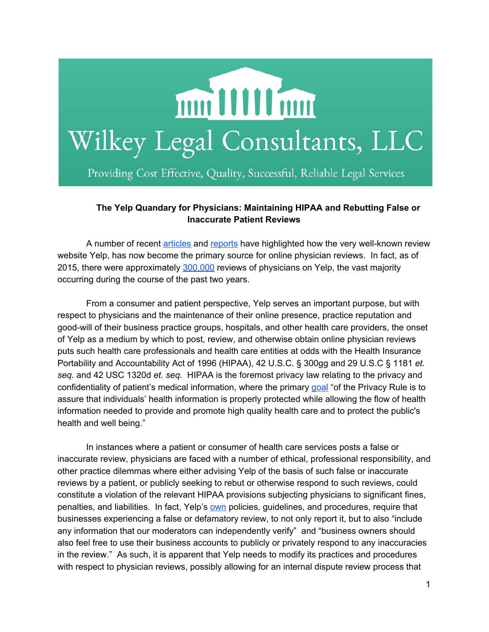

## **The Yelp Quandary for Physicians: Maintaining HIPAA and Rebutting False or Inaccurate Patient Reviews**

A number of recent [articles](http://hitconsultant.net/2014/11/18/yelp-dominates-online-physician-reviews/) and [reports](http://www.npr.org/sections/health-shots/2015/08/06/429624187/on-yelp-doctors-get-reviewed-like-restaurants-and-it-rankles) have highlighted how the very well-known review website Yelp, has now become the primary source for online physician reviews. In fact, as of 2015, there were approximately [300,000](http://www.imedicalapps.com/2015/08/yelp-health-doctor-reviews/) reviews of physicians on Yelp, the vast majority occurring during the course of the past two years.

From a consumer and patient perspective, Yelp serves an important purpose, but with respect to physicians and the maintenance of their online presence, practice reputation and good-will of their business practice groups, hospitals, and other health care providers, the onset of Yelp as a medium by which to post, review, and otherwise obtain online physician reviews puts such health care professionals and health care entities at odds with the Health Insurance Portability and Accountability Act of 1996 (HIPAA), 42 U.S.C. § 300gg and 29 U.S.C § 1181 *et. seq.* and 42 USC 1320d *et. seq.* HIPAA is the foremost privacy law relating to the privacy and confidentiality of patient's medical information, where the primary [goal](http://www.hhs.gov/ocr/privacy/hipaa/understanding/summary/index.html) "of the Privacy Rule is to assure that individuals' health information is properly protected while allowing the flow of health information needed to provide and promote high quality health care and to protect the public's health and well being."

In instances where a patient or consumer of health care services posts a false or inaccurate review, physicians are faced with a number of ethical, professional responsibility, and other practice dilemmas where either advising Yelp of the basis of such false or inaccurate reviews by a patient, or publicly seeking to rebut or otherwise respond to such reviews, could constitute a violation of the relevant HIPAA provisions subjecting physicians to significant fines, penalties, and liabilities. In fact, Yelp's [own](http://www.yelp-support.com/article/Will-Yelp-remove-a-false-or-defamatory-review?l=en_US) policies, guidelines, and procedures, require that businesses experiencing a false or defamatory review, to not only report it, but to also "include any information that our moderators can independently verify" and "business owners should also feel free to use their business accounts to publicly or privately respond to any inaccuracies in the review." As such, it is apparent that Yelp needs to modify its practices and procedures with respect to physician reviews, possibly allowing for an internal dispute review process that